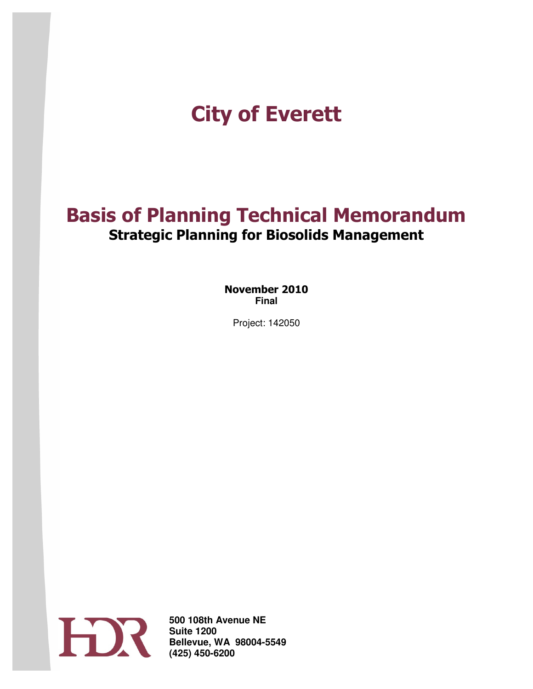# City of Everett Everett

# Basis of Planning Technical Memorandum Strategic Planning for Biosolids Management

November 2010 **Final** 

Project: 142050



**500 108 Suite 1200 Bellevue, WA 98004 (425) 450 500 108th Avenue NE**  Suite 1200<br>Bellevue, WA 98004-5549 **(425) 450-6200**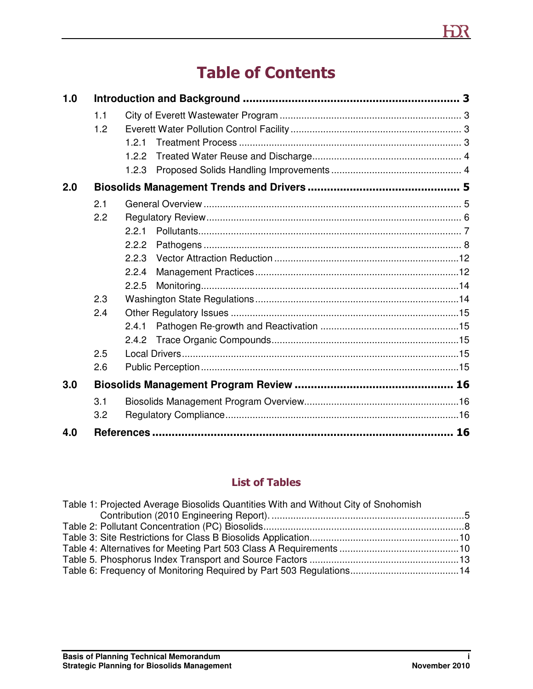# Table of Contents

| 1.0 |     |       |  |
|-----|-----|-------|--|
|     | 1.1 |       |  |
|     | 1.2 |       |  |
|     |     | 1.2.1 |  |
|     |     | 1.2.2 |  |
|     |     | 1.2.3 |  |
| 2.0 |     |       |  |
|     | 2.1 |       |  |
|     | 2.2 |       |  |
|     |     | 2.2.1 |  |
|     |     | 2.2.2 |  |
|     |     | 2.2.3 |  |
|     |     | 2.2.4 |  |
|     |     | 2.2.5 |  |
|     | 2.3 |       |  |
|     | 2.4 |       |  |
|     |     | 2.4.1 |  |
|     |     | 2.4.2 |  |
|     | 2.5 |       |  |
|     | 2.6 |       |  |
| 3.0 |     |       |  |
|     | 3.1 |       |  |
|     | 3.2 |       |  |
| 4.0 |     |       |  |

#### List of Tables

| Table 1: Projected Average Biosolids Quantities With and Without City of Snohomish |  |
|------------------------------------------------------------------------------------|--|
|                                                                                    |  |
|                                                                                    |  |
|                                                                                    |  |
|                                                                                    |  |
|                                                                                    |  |
|                                                                                    |  |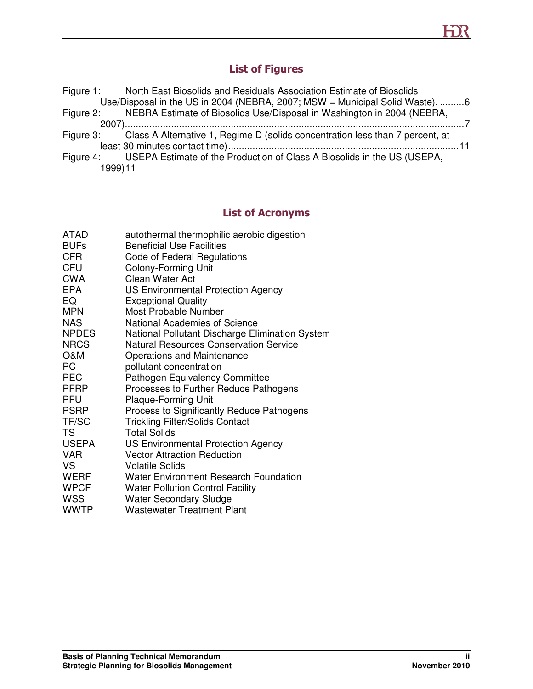# List of Figures

|         | Figure 1: North East Biosolids and Residuals Association Estimate of Biosolids          |  |
|---------|-----------------------------------------------------------------------------------------|--|
|         | Use/Disposal in the US in 2004 (NEBRA, 2007; MSW = Municipal Solid Waste). 6            |  |
|         | Figure 2: NEBRA Estimate of Biosolids Use/Disposal in Washington in 2004 (NEBRA,        |  |
|         |                                                                                         |  |
|         | Figure 3: Class A Alternative 1, Regime D (solids concentration less than 7 percent, at |  |
|         |                                                                                         |  |
|         | Figure 4: USEPA Estimate of the Production of Class A Biosolids in the US (USEPA,       |  |
| 1999)11 |                                                                                         |  |

# List of Acronyms

| <b>ATAD</b>  | autothermal thermophilic aerobic digestion      |
|--------------|-------------------------------------------------|
| <b>BUFs</b>  | <b>Beneficial Use Facilities</b>                |
| CFR.         | Code of Federal Regulations                     |
| <b>CFU</b>   | Colony-Forming Unit                             |
| CWA          | Clean Water Act                                 |
| EPA          | <b>US Environmental Protection Agency</b>       |
| EQ           | <b>Exceptional Quality</b>                      |
| <b>MPN</b>   | Most Probable Number                            |
| <b>NAS</b>   | <b>National Academies of Science</b>            |
| <b>NPDES</b> | National Pollutant Discharge Elimination System |
| <b>NRCS</b>  | <b>Natural Resources Conservation Service</b>   |
| O&M          | Operations and Maintenance                      |
| PC           | pollutant concentration                         |
| <b>PEC</b>   | Pathogen Equivalency Committee                  |
| PFRP         | Processes to Further Reduce Pathogens           |
| PFU          | <b>Plaque-Forming Unit</b>                      |
| PSRP         | Process to Significantly Reduce Pathogens       |
| TF/SC        | <b>Trickling Filter/Solids Contact</b>          |
| <b>TS</b>    | <b>Total Solids</b>                             |
| <b>USEPA</b> | <b>US Environmental Protection Agency</b>       |
| <b>VAR</b>   | <b>Vector Attraction Reduction</b>              |
| VS           | <b>Volatile Solids</b>                          |
| WERF         | <b>Water Environment Research Foundation</b>    |
| <b>WPCF</b>  | <b>Water Pollution Control Facility</b>         |
| <b>WSS</b>   | <b>Water Secondary Sludge</b>                   |
| <b>WWTP</b>  | <b>Wastewater Treatment Plant</b>               |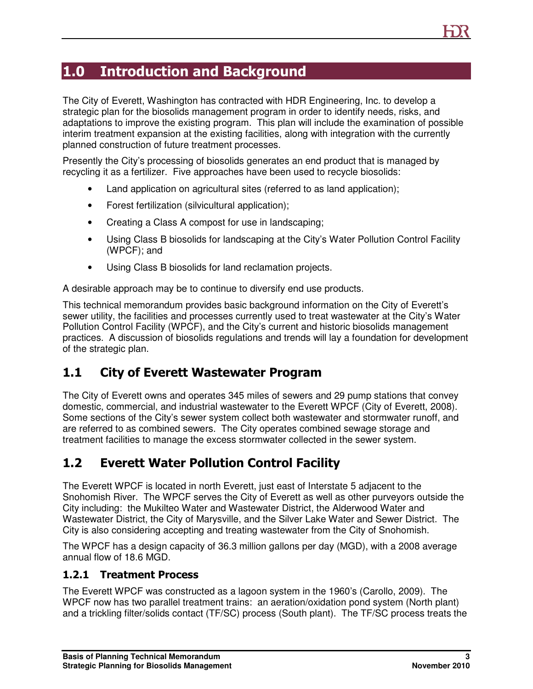# 1.0 Introduction and Background

The City of Everett, Washington has contracted with HDR Engineering, Inc. to develop a strategic plan for the biosolids management program in order to identify needs, risks, and adaptations to improve the existing program. This plan will include the examination of possible interim treatment expansion at the existing facilities, along with integration with the currently planned construction of future treatment processes.

Presently the City's processing of biosolids generates an end product that is managed by recycling it as a fertilizer. Five approaches have been used to recycle biosolids:

- Land application on agricultural sites (referred to as land application);
- Forest fertilization (silvicultural application);
- Creating a Class A compost for use in landscaping;
- Using Class B biosolids for landscaping at the City's Water Pollution Control Facility (WPCF); and
- Using Class B biosolids for land reclamation projects.

A desirable approach may be to continue to diversify end use products.

This technical memorandum provides basic background information on the City of Everett's sewer utility, the facilities and processes currently used to treat wastewater at the City's Water Pollution Control Facility (WPCF), and the City's current and historic biosolids management practices. A discussion of biosolids regulations and trends will lay a foundation for development of the strategic plan.

### 1.1 City of Everett Wastewater Program

The City of Everett owns and operates 345 miles of sewers and 29 pump stations that convey domestic, commercial, and industrial wastewater to the Everett WPCF (City of Everett, 2008). Some sections of the City's sewer system collect both wastewater and stormwater runoff, and are referred to as combined sewers. The City operates combined sewage storage and treatment facilities to manage the excess stormwater collected in the sewer system.

# 1.2 Everett Water Pollution Control Facility

The Everett WPCF is located in north Everett, just east of Interstate 5 adjacent to the Snohomish River. The WPCF serves the City of Everett as well as other purveyors outside the City including: the Mukilteo Water and Wastewater District, the Alderwood Water and Wastewater District, the City of Marysville, and the Silver Lake Water and Sewer District. The City is also considering accepting and treating wastewater from the City of Snohomish.

The WPCF has a design capacity of 36.3 million gallons per day (MGD), with a 2008 average annual flow of 18.6 MGD.

#### 1.2.1 Treatment Process

The Everett WPCF was constructed as a lagoon system in the 1960's (Carollo, 2009). The WPCF now has two parallel treatment trains: an aeration/oxidation pond system (North plant) and a trickling filter/solids contact (TF/SC) process (South plant). The TF/SC process treats the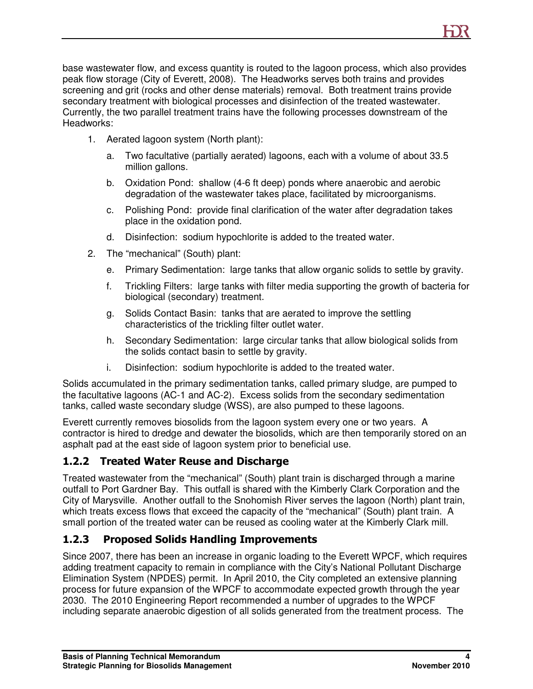base wastewater flow, and excess quantity is routed to the lagoon process, which also provides peak flow storage (City of Everett, 2008). The Headworks serves both trains and provides screening and grit (rocks and other dense materials) removal. Both treatment trains provide secondary treatment with biological processes and disinfection of the treated wastewater. Currently, the two parallel treatment trains have the following processes downstream of the Headworks:

- 1. Aerated lagoon system (North plant):
	- a. Two facultative (partially aerated) lagoons, each with a volume of about 33.5 million gallons.
	- b. Oxidation Pond: shallow (4-6 ft deep) ponds where anaerobic and aerobic degradation of the wastewater takes place, facilitated by microorganisms.
	- c. Polishing Pond: provide final clarification of the water after degradation takes place in the oxidation pond.
	- d. Disinfection: sodium hypochlorite is added to the treated water.
- 2. The "mechanical" (South) plant:
	- e. Primary Sedimentation: large tanks that allow organic solids to settle by gravity.
	- f. Trickling Filters: large tanks with filter media supporting the growth of bacteria for biological (secondary) treatment.
	- g. Solids Contact Basin: tanks that are aerated to improve the settling characteristics of the trickling filter outlet water.
	- h. Secondary Sedimentation: large circular tanks that allow biological solids from the solids contact basin to settle by gravity.
	- i. Disinfection: sodium hypochlorite is added to the treated water.

Solids accumulated in the primary sedimentation tanks, called primary sludge, are pumped to the facultative lagoons (AC-1 and AC-2). Excess solids from the secondary sedimentation tanks, called waste secondary sludge (WSS), are also pumped to these lagoons.

Everett currently removes biosolids from the lagoon system every one or two years. A contractor is hired to dredge and dewater the biosolids, which are then temporarily stored on an asphalt pad at the east side of lagoon system prior to beneficial use.

#### 1.2.2 Treated Water Reuse and Discharge

Treated wastewater from the "mechanical" (South) plant train is discharged through a marine outfall to Port Gardner Bay. This outfall is shared with the Kimberly Clark Corporation and the City of Marysville. Another outfall to the Snohomish River serves the lagoon (North) plant train, which treats excess flows that exceed the capacity of the "mechanical" (South) plant train. A small portion of the treated water can be reused as cooling water at the Kimberly Clark mill.

#### 1.2.3 Proposed Solids Handling Improvements

Since 2007, there has been an increase in organic loading to the Everett WPCF, which requires adding treatment capacity to remain in compliance with the City's National Pollutant Discharge Elimination System (NPDES) permit. In April 2010, the City completed an extensive planning process for future expansion of the WPCF to accommodate expected growth through the year 2030. The 2010 Engineering Report recommended a number of upgrades to the WPCF including separate anaerobic digestion of all solids generated from the treatment process. The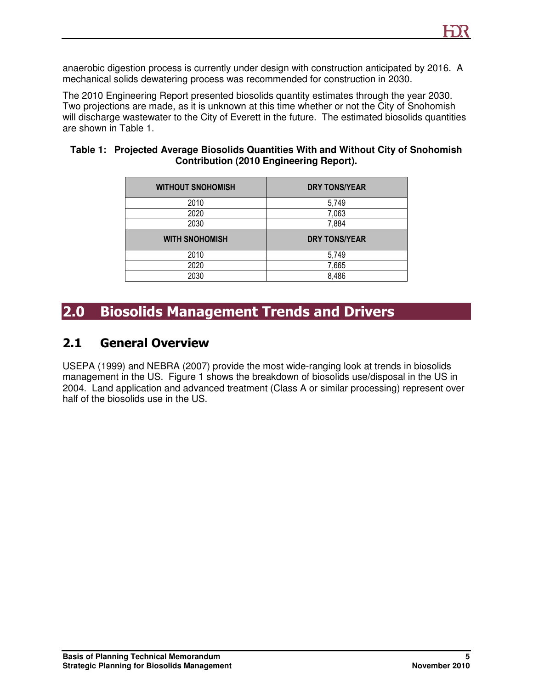anaerobic digestion process is currently under design with construction anticipated by 2016. A mechanical solids dewatering process was recommended for construction in 2030.

The 2010 Engineering Report presented biosolids quantity estimates through the year 2030. Two projections are made, as it is unknown at this time whether or not the City of Snohomish will discharge wastewater to the City of Everett in the future. The estimated biosolids quantities are shown in Table 1.

| <b>WITHOUT SNOHOMISH</b> | <b>DRY TONS/YEAR</b> |
|--------------------------|----------------------|
| 2010                     | 5,749                |
| 2020                     | 7,063                |
| 2030                     | 7,884                |
|                          |                      |
| <b>WITH SNOHOMISH</b>    | <b>DRY TONS/YEAR</b> |
| 2010                     | 5,749                |
| 2020                     | 7,665                |

# 2.0 Biosolids Management Trends and Drivers

### 2.1 General Overview

USEPA (1999) and NEBRA (2007) provide the most wide-ranging look at trends in biosolids management in the US. Figure 1 shows the breakdown of biosolids use/disposal in the US in 2004. Land application and advanced treatment (Class A or similar processing) represent over half of the biosolids use in the US.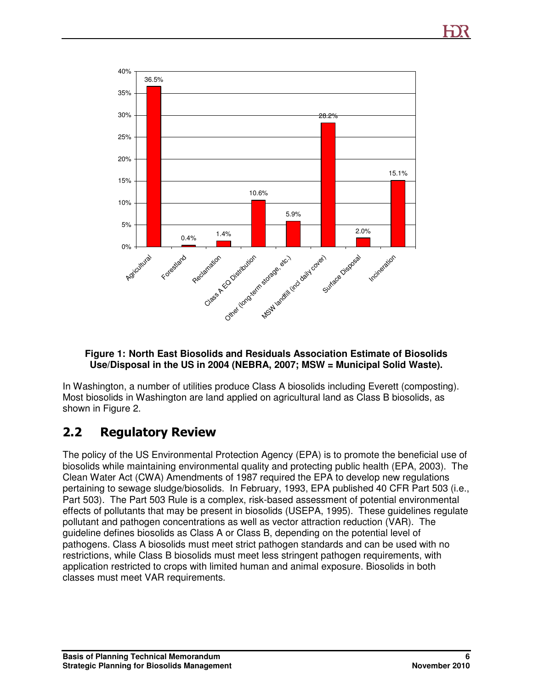

#### **Figure 1: North East Biosolids and Residuals Association Estimate of Biosolids Use/Disposal in the US in 2004 (NEBRA, 2007; MSW = Municipal Solid Waste).**

In Washington, a number of utilities produce Class A biosolids including Everett (composting). Most biosolids in Washington are land applied on agricultural land as Class B biosolids, as shown in Figure 2.

### 2.2 Regulatory Review

The policy of the US Environmental Protection Agency (EPA) is to promote the beneficial use of biosolids while maintaining environmental quality and protecting public health (EPA, 2003). The Clean Water Act (CWA) Amendments of 1987 required the EPA to develop new regulations pertaining to sewage sludge/biosolids. In February, 1993, EPA published 40 CFR Part 503 (i.e., Part 503). The Part 503 Rule is a complex, risk-based assessment of potential environmental effects of pollutants that may be present in biosolids (USEPA, 1995). These guidelines regulate pollutant and pathogen concentrations as well as vector attraction reduction (VAR). The guideline defines biosolids as Class A or Class B, depending on the potential level of pathogens. Class A biosolids must meet strict pathogen standards and can be used with no restrictions, while Class B biosolids must meet less stringent pathogen requirements, with application restricted to crops with limited human and animal exposure. Biosolids in both classes must meet VAR requirements.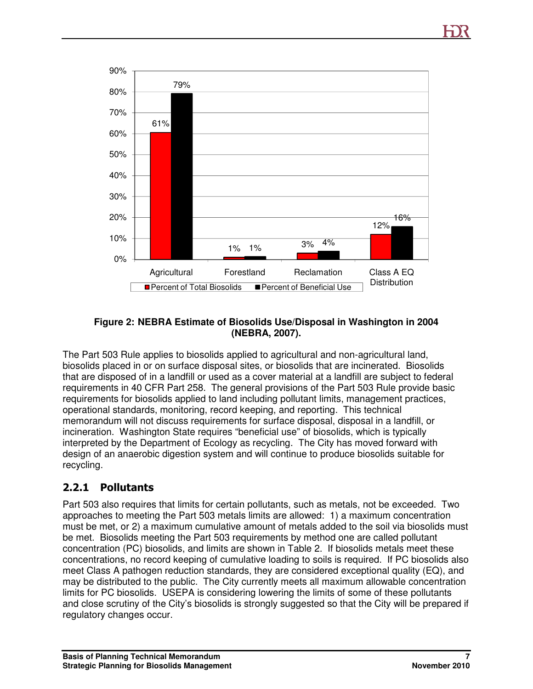

#### **Figure 2: NEBRA Estimate of Biosolids Use/Disposal in Washington in 2004 (NEBRA, 2007).**

The Part 503 Rule applies to biosolids applied to agricultural and non-agricultural land, biosolids placed in or on surface disposal sites, or biosolids that are incinerated. Biosolids that are disposed of in a landfill or used as a cover material at a landfill are subject to federal requirements in 40 CFR Part 258. The general provisions of the Part 503 Rule provide basic requirements for biosolids applied to land including pollutant limits, management practices, operational standards, monitoring, record keeping, and reporting. This technical memorandum will not discuss requirements for surface disposal, disposal in a landfill, or incineration. Washington State requires "beneficial use" of biosolids, which is typically interpreted by the Department of Ecology as recycling. The City has moved forward with design of an anaerobic digestion system and will continue to produce biosolids suitable for recycling.

#### 2.2.1 Pollutants

Part 503 also requires that limits for certain pollutants, such as metals, not be exceeded. Two approaches to meeting the Part 503 metals limits are allowed: 1) a maximum concentration must be met, or 2) a maximum cumulative amount of metals added to the soil via biosolids must be met. Biosolids meeting the Part 503 requirements by method one are called pollutant concentration (PC) biosolids, and limits are shown in Table 2. If biosolids metals meet these concentrations, no record keeping of cumulative loading to soils is required. If PC biosolids also meet Class A pathogen reduction standards, they are considered exceptional quality (EQ), and may be distributed to the public. The City currently meets all maximum allowable concentration limits for PC biosolids. USEPA is considering lowering the limits of some of these pollutants and close scrutiny of the City's biosolids is strongly suggested so that the City will be prepared if regulatory changes occur.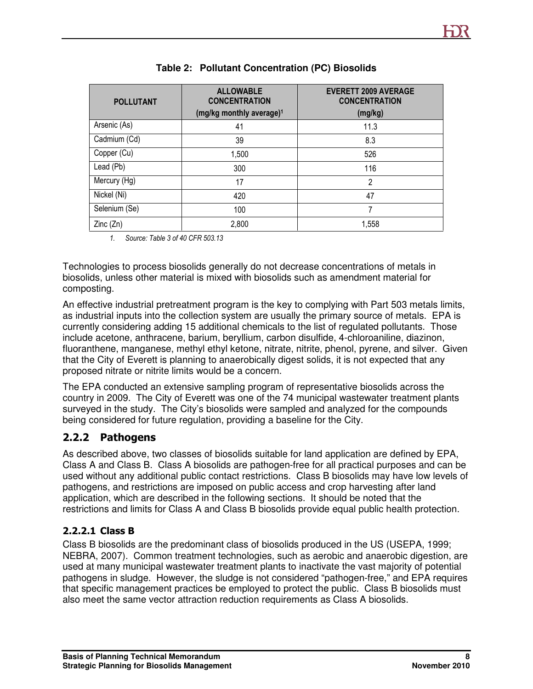| <b>POLLUTANT</b> | <b>ALLOWABLE</b><br><b>CONCENTRATION</b><br>(mg/kg monthly average) <sup>1</sup> | <b>EVERETT 2009 AVERAGE</b><br><b>CONCENTRATION</b><br>(mg/kg) |
|------------------|----------------------------------------------------------------------------------|----------------------------------------------------------------|
| Arsenic (As)     | 41                                                                               | 11.3                                                           |
| Cadmium (Cd)     | 39                                                                               | 8.3                                                            |
| Copper (Cu)      | 1,500                                                                            | 526                                                            |
| Lead (Pb)        | 300                                                                              | 116                                                            |
| Mercury (Hg)     | 17                                                                               | 2                                                              |
| Nickel (Ni)      | 420                                                                              | 47                                                             |
| Selenium (Se)    | 100                                                                              |                                                                |
| Zinc(Zn)         | 2,800                                                                            | 1,558                                                          |

#### **Table 2: Pollutant Concentration (PC) Biosolids**

1. Source: Table 3 of 40 CFR 503.13

Technologies to process biosolids generally do not decrease concentrations of metals in biosolids, unless other material is mixed with biosolids such as amendment material for composting.

An effective industrial pretreatment program is the key to complying with Part 503 metals limits, as industrial inputs into the collection system are usually the primary source of metals. EPA is currently considering adding 15 additional chemicals to the list of regulated pollutants. Those include acetone, anthracene, barium, beryllium, carbon disulfide, 4-chloroaniline, diazinon, fluoranthene, manganese, methyl ethyl ketone, nitrate, nitrite, phenol, pyrene, and silver. Given that the City of Everett is planning to anaerobically digest solids, it is not expected that any proposed nitrate or nitrite limits would be a concern.

The EPA conducted an extensive sampling program of representative biosolids across the country in 2009. The City of Everett was one of the 74 municipal wastewater treatment plants surveyed in the study. The City's biosolids were sampled and analyzed for the compounds being considered for future regulation, providing a baseline for the City.

#### 2.2.2 Pathogens

As described above, two classes of biosolids suitable for land application are defined by EPA, Class A and Class B. Class A biosolids are pathogen-free for all practical purposes and can be used without any additional public contact restrictions. Class B biosolids may have low levels of pathogens, and restrictions are imposed on public access and crop harvesting after land application, which are described in the following sections. It should be noted that the restrictions and limits for Class A and Class B biosolids provide equal public health protection.

#### 2.2.2.1 Class B

Class B biosolids are the predominant class of biosolids produced in the US (USEPA, 1999; NEBRA, 2007). Common treatment technologies, such as aerobic and anaerobic digestion, are used at many municipal wastewater treatment plants to inactivate the vast majority of potential pathogens in sludge. However, the sludge is not considered "pathogen-free," and EPA requires that specific management practices be employed to protect the public. Class B biosolids must also meet the same vector attraction reduction requirements as Class A biosolids.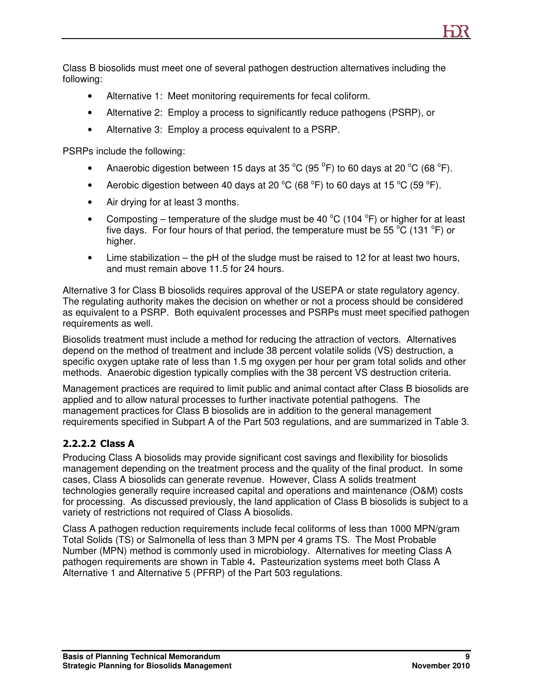Class B biosolids must meet one of several pathogen destruction alternatives including the following:

- Alternative 1: Meet monitoring requirements for fecal coliform.
- Alternative 2: Employ a process to significantly reduce pathogens (PSRP), or
- Alternative 3: Employ a process equivalent to a PSRP.

PSRPs include the following:

- Anaerobic digestion between 15 days at 35  $^{\circ}$ C (95  $^{\circ}$ F) to 60 days at 20  $^{\circ}$ C (68  $^{\circ}$ F).
- Aerobic digestion between 40 days at 20  $^{\circ}$ C (68  $^{\circ}$ F) to 60 days at 15  $^{\circ}$ C (59  $^{\circ}$ F).
- Air drying for at least 3 months.
- Composting temperature of the sludge must be 40  $^{\circ}$ C (104  $^{\circ}$ F) or higher for at least five days. For four hours of that period, the temperature must be 55  $\degree$ C (131  $\degree$ F) or higher.
- Lime stabilization the pH of the sludge must be raised to 12 for at least two hours, and must remain above 11.5 for 24 hours.

Alternative 3 for Class B biosolids requires approval of the USEPA or state regulatory agency. The regulating authority makes the decision on whether or not a process should be considered as equivalent to a PSRP. Both equivalent processes and PSRPs must meet specified pathogen requirements as well.

Biosolids treatment must include a method for reducing the attraction of vectors. Alternatives depend on the method of treatment and include 38 percent volatile solids (VS) destruction, a specific oxygen uptake rate of less than 1.5 mg oxygen per hour per gram total solids and other methods. Anaerobic digestion typically complies with the 38 percent VS destruction criteria.

Management practices are required to limit public and animal contact after Class B biosolids are applied and to allow natural processes to further inactivate potential pathogens. The management practices for Class B biosolids are in addition to the general management requirements specified in Subpart A of the Part 503 regulations, and are summarized in Table 3.

#### 2.2.2.2 Class A

Producing Class A biosolids may provide significant cost savings and flexibility for biosolids management depending on the treatment process and the quality of the final product. In some cases, Class A biosolids can generate revenue. However, Class A solids treatment technologies generally require increased capital and operations and maintenance (O&M) costs for processing. As discussed previously, the land application of Class B biosolids is subject to a variety of restrictions not required of Class A biosolids.

Class A pathogen reduction requirements include fecal coliforms of less than 1000 MPN/gram Total Solids (TS) or Salmonella of less than 3 MPN per 4 grams TS. The Most Probable Number (MPN) method is commonly used in microbiology. Alternatives for meeting Class A pathogen requirements are shown in Table 4**.** Pasteurization systems meet both Class A Alternative 1 and Alternative 5 (PFRP) of the Part 503 regulations.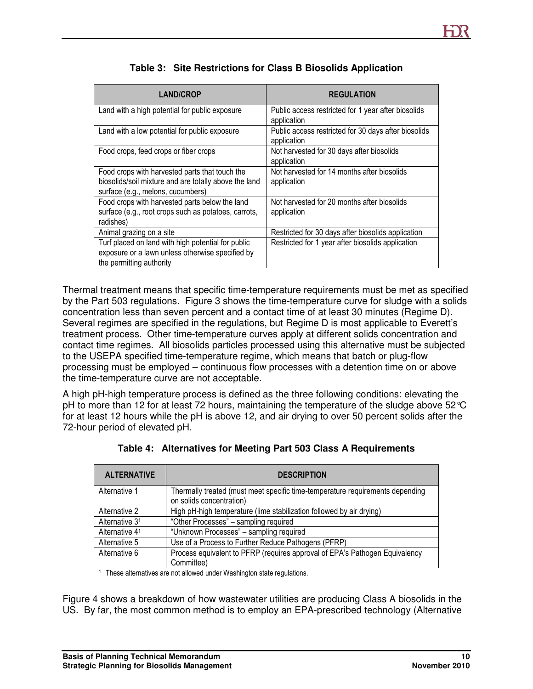| <b>LAND/CROP</b>                                                                                                                             | <b>REGULATION</b>                                                   |
|----------------------------------------------------------------------------------------------------------------------------------------------|---------------------------------------------------------------------|
| Land with a high potential for public exposure                                                                                               | Public access restricted for 1 year after biosolids<br>application  |
| Land with a low potential for public exposure                                                                                                | Public access restricted for 30 days after biosolids<br>application |
| Food crops, feed crops or fiber crops                                                                                                        | Not harvested for 30 days after biosolids<br>application            |
| Food crops with harvested parts that touch the<br>biosolids/soil mixture and are totally above the land<br>surface (e.g., melons, cucumbers) | Not harvested for 14 months after biosolids<br>application          |
| Food crops with harvested parts below the land<br>surface (e.g., root crops such as potatoes, carrots,<br>radishes)                          | Not harvested for 20 months after biosolids<br>application          |
| Animal grazing on a site                                                                                                                     | Restricted for 30 days after biosolids application                  |
| Turf placed on land with high potential for public<br>exposure or a lawn unless otherwise specified by<br>the permitting authority           | Restricted for 1 year after biosolids application                   |

| Table 3: Site Restrictions for Class B Biosolids Application |
|--------------------------------------------------------------|
|                                                              |

Thermal treatment means that specific time-temperature requirements must be met as specified by the Part 503 regulations. Figure 3 shows the time-temperature curve for sludge with a solids concentration less than seven percent and a contact time of at least 30 minutes (Regime D). Several regimes are specified in the regulations, but Regime D is most applicable to Everett's treatment process. Other time-temperature curves apply at different solids concentration and contact time regimes. All biosolids particles processed using this alternative must be subjected to the USEPA specified time-temperature regime, which means that batch or plug-flow processing must be employed – continuous flow processes with a detention time on or above the time-temperature curve are not acceptable.

A high pH-high temperature process is defined as the three following conditions: elevating the pH to more than 12 for at least 72 hours, maintaining the temperature of the sludge above 52°C for at least 12 hours while the pH is above 12, and air drying to over 50 percent solids after the 72-hour period of elevated pH.

| <b>ALTERNATIVE</b>                                                                   | <b>DESCRIPTION</b>                                                                                        |  |  |  |
|--------------------------------------------------------------------------------------|-----------------------------------------------------------------------------------------------------------|--|--|--|
| Alternative 1                                                                        | Thermally treated (must meet specific time-temperature requirements depending<br>on solids concentration) |  |  |  |
| Alternative 2                                                                        | High pH-high temperature (lime stabilization followed by air drying)                                      |  |  |  |
| Alternative 3 <sup>1</sup>                                                           | "Other Processes" - sampling required                                                                     |  |  |  |
| Alternative 41                                                                       | "Unknown Processes" - sampling required                                                                   |  |  |  |
| Alternative 5                                                                        | Use of a Process to Further Reduce Pathogens (PFRP)                                                       |  |  |  |
| Alternative 6                                                                        | Process equivalent to PFRP (requires approval of EPA's Pathogen Equivalency                               |  |  |  |
|                                                                                      | Committee)                                                                                                |  |  |  |
| <sup>1.</sup> These alternatives are not allowed under Washington state requisitions |                                                                                                           |  |  |  |

**Table 4: Alternatives for Meeting Part 503 Class A Requirements** 

ise alternatives are not allowed under washington state regulations.

Figure 4 shows a breakdown of how wastewater utilities are producing Class A biosolids in the US. By far, the most common method is to employ an EPA-prescribed technology (Alternative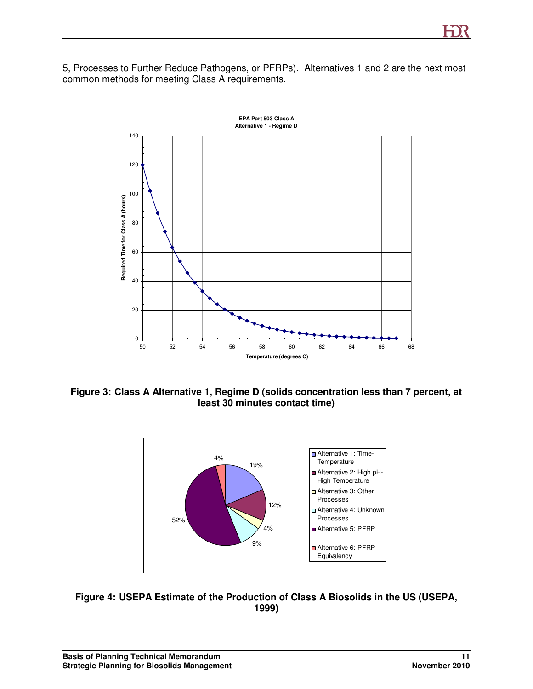5, Processes to Further Reduce Pathogens, or PFRPs). Alternatives 1 and 2 are the next most common methods for meeting Class A requirements.



**Figure 3: Class A Alternative 1, Regime D (solids concentration less than 7 percent, at least 30 minutes contact time)** 



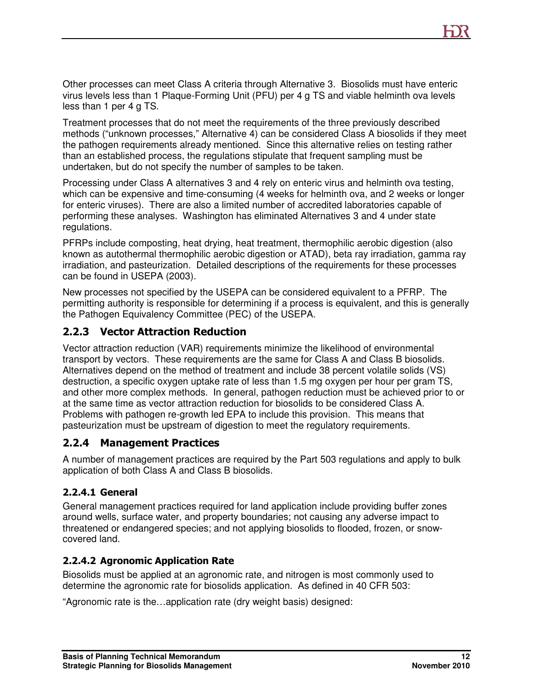Other processes can meet Class A criteria through Alternative 3. Biosolids must have enteric virus levels less than 1 Plaque-Forming Unit (PFU) per 4 g TS and viable helminth ova levels less than 1 per 4 g TS.

Treatment processes that do not meet the requirements of the three previously described methods ("unknown processes," Alternative 4) can be considered Class A biosolids if they meet the pathogen requirements already mentioned. Since this alternative relies on testing rather than an established process, the regulations stipulate that frequent sampling must be undertaken, but do not specify the number of samples to be taken.

Processing under Class A alternatives 3 and 4 rely on enteric virus and helminth ova testing, which can be expensive and time-consuming (4 weeks for helminth ova, and 2 weeks or longer for enteric viruses). There are also a limited number of accredited laboratories capable of performing these analyses. Washington has eliminated Alternatives 3 and 4 under state regulations.

PFRPs include composting, heat drying, heat treatment, thermophilic aerobic digestion (also known as autothermal thermophilic aerobic digestion or ATAD), beta ray irradiation, gamma ray irradiation, and pasteurization. Detailed descriptions of the requirements for these processes can be found in USEPA (2003).

New processes not specified by the USEPA can be considered equivalent to a PFRP. The permitting authority is responsible for determining if a process is equivalent, and this is generally the Pathogen Equivalency Committee (PEC) of the USEPA.

#### 2.2.3 Vector Attraction Reduction

Vector attraction reduction (VAR) requirements minimize the likelihood of environmental transport by vectors. These requirements are the same for Class A and Class B biosolids. Alternatives depend on the method of treatment and include 38 percent volatile solids (VS) destruction, a specific oxygen uptake rate of less than 1.5 mg oxygen per hour per gram TS, and other more complex methods. In general, pathogen reduction must be achieved prior to or at the same time as vector attraction reduction for biosolids to be considered Class A. Problems with pathogen re-growth led EPA to include this provision. This means that pasteurization must be upstream of digestion to meet the regulatory requirements.

#### 2.2.4 Management Practices

A number of management practices are required by the Part 503 regulations and apply to bulk application of both Class A and Class B biosolids.

#### 2.2.4.1 General

General management practices required for land application include providing buffer zones around wells, surface water, and property boundaries; not causing any adverse impact to threatened or endangered species; and not applying biosolids to flooded, frozen, or snowcovered land.

#### 2.2.4.2 Agronomic Application Rate

Biosolids must be applied at an agronomic rate, and nitrogen is most commonly used to determine the agronomic rate for biosolids application. As defined in 40 CFR 503:

"Agronomic rate is the…application rate (dry weight basis) designed: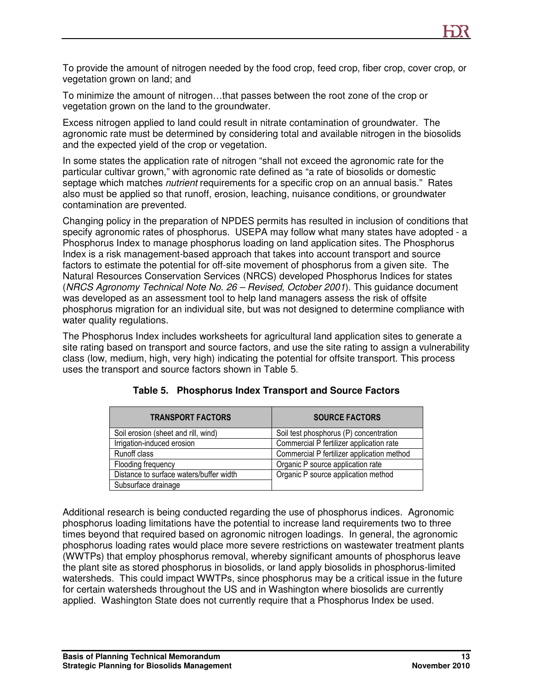To provide the amount of nitrogen needed by the food crop, feed crop, fiber crop, cover crop, or vegetation grown on land; and

To minimize the amount of nitrogen…that passes between the root zone of the crop or vegetation grown on the land to the groundwater.

Excess nitrogen applied to land could result in nitrate contamination of groundwater. The agronomic rate must be determined by considering total and available nitrogen in the biosolids and the expected yield of the crop or vegetation.

In some states the application rate of nitrogen "shall not exceed the agronomic rate for the particular cultivar grown," with agronomic rate defined as "a rate of biosolids or domestic septage which matches *nutrient* requirements for a specific crop on an annual basis." Rates also must be applied so that runoff, erosion, leaching, nuisance conditions, or groundwater contamination are prevented.

Changing policy in the preparation of NPDES permits has resulted in inclusion of conditions that specify agronomic rates of phosphorus. USEPA may follow what many states have adopted - a Phosphorus Index to manage phosphorus loading on land application sites. The Phosphorus Index is a risk management-based approach that takes into account transport and source factors to estimate the potential for off-site movement of phosphorus from a given site. The Natural Resources Conservation Services (NRCS) developed Phosphorus Indices for states (NRCS Agronomy Technical Note No. 26 – Revised, October 2001). This guidance document was developed as an assessment tool to help land managers assess the risk of offsite phosphorus migration for an individual site, but was not designed to determine compliance with water quality regulations.

The Phosphorus Index includes worksheets for agricultural land application sites to generate a site rating based on transport and source factors, and use the site rating to assign a vulnerability class (low, medium, high, very high) indicating the potential for offsite transport. This process uses the transport and source factors shown in Table 5.

| <b>TRANSPORT FACTORS</b>                | <b>SOURCE FACTORS</b>                      |
|-----------------------------------------|--------------------------------------------|
| Soil erosion (sheet and rill, wind)     | Soil test phosphorus (P) concentration     |
| Irrigation-induced erosion              | Commercial P fertilizer application rate   |
| Runoff class                            | Commercial P fertilizer application method |
| Flooding frequency                      | Organic P source application rate          |
| Distance to surface waters/buffer width | Organic P source application method        |
| Subsurface drainage                     |                                            |

|  | Table 5. Phosphorus Index Transport and Source Factors |  |  |  |  |  |
|--|--------------------------------------------------------|--|--|--|--|--|
|--|--------------------------------------------------------|--|--|--|--|--|

Additional research is being conducted regarding the use of phosphorus indices. Agronomic phosphorus loading limitations have the potential to increase land requirements two to three times beyond that required based on agronomic nitrogen loadings. In general, the agronomic phosphorus loading rates would place more severe restrictions on wastewater treatment plants (WWTPs) that employ phosphorus removal, whereby significant amounts of phosphorus leave the plant site as stored phosphorus in biosolids, or land apply biosolids in phosphorus-limited watersheds. This could impact WWTPs, since phosphorus may be a critical issue in the future for certain watersheds throughout the US and in Washington where biosolids are currently applied. Washington State does not currently require that a Phosphorus Index be used.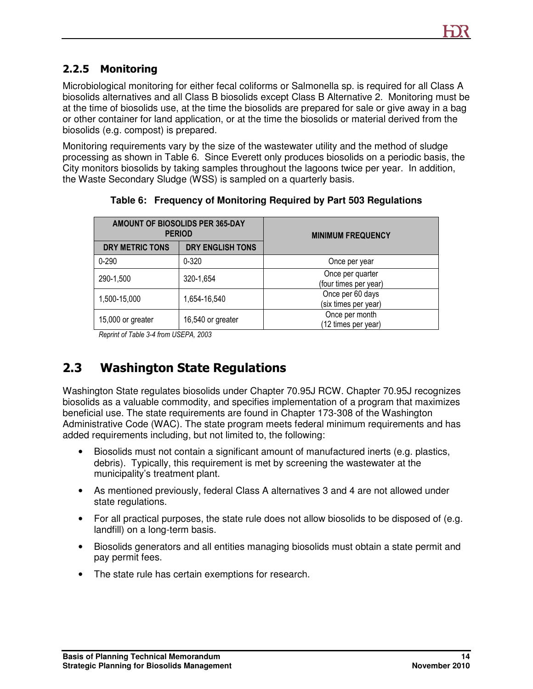### 2.2.5 Monitoring

Microbiological monitoring for either fecal coliforms or Salmonella sp. is required for all Class A biosolids alternatives and all Class B biosolids except Class B Alternative 2. Monitoring must be at the time of biosolids use, at the time the biosolids are prepared for sale or give away in a bag or other container for land application, or at the time the biosolids or material derived from the biosolids (e.g. compost) is prepared.

Monitoring requirements vary by the size of the wastewater utility and the method of sludge processing as shown in Table 6. Since Everett only produces biosolids on a periodic basis, the City monitors biosolids by taking samples throughout the lagoons twice per year. In addition, the Waste Secondary Sludge (WSS) is sampled on a quarterly basis.

| AMOUNT OF BIOSOLIDS PER 365-DAY<br><b>PERIOD</b> |                         | <b>MINIMUM FREQUENCY</b>                  |
|--------------------------------------------------|-------------------------|-------------------------------------------|
| DRY METRIC TONS                                  | <b>DRY ENGLISH TONS</b> |                                           |
| $0 - 290$                                        | $0 - 320$               | Once per year                             |
| 290-1,500                                        | 320-1,654               | Once per quarter<br>(four times per year) |
| 1,500-15,000                                     | 1,654-16,540            | Once per 60 days<br>(six times per year)  |
| 15,000 or greater                                | 16,540 or greater       | Once per month<br>(12 times per year)     |

**Table 6: Frequency of Monitoring Required by Part 503 Regulations** 

Reprint of Table 3-4 from USEPA, 2003

# 2.3 Washington State Regulations

Washington State regulates biosolids under Chapter 70.95J RCW. Chapter 70.95J recognizes biosolids as a valuable commodity, and specifies implementation of a program that maximizes beneficial use. The state requirements are found in Chapter 173-308 of the Washington Administrative Code (WAC). The state program meets federal minimum requirements and has added requirements including, but not limited to, the following:

- Biosolids must not contain a significant amount of manufactured inerts (e.g. plastics, debris). Typically, this requirement is met by screening the wastewater at the municipality's treatment plant.
- As mentioned previously, federal Class A alternatives 3 and 4 are not allowed under state regulations.
- For all practical purposes, the state rule does not allow biosolids to be disposed of (e.g. landfill) on a long-term basis.
- Biosolids generators and all entities managing biosolids must obtain a state permit and pay permit fees.
- The state rule has certain exemptions for research.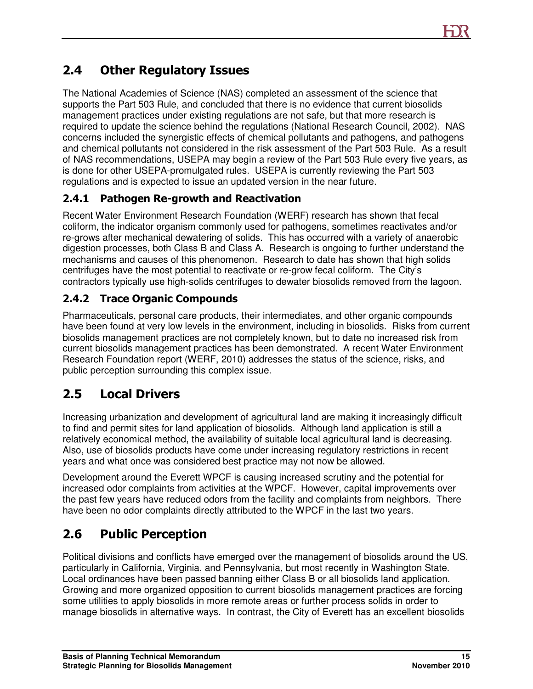# 2.4 Other Regulatory Issues

The National Academies of Science (NAS) completed an assessment of the science that supports the Part 503 Rule, and concluded that there is no evidence that current biosolids management practices under existing regulations are not safe, but that more research is required to update the science behind the regulations (National Research Council, 2002). NAS concerns included the synergistic effects of chemical pollutants and pathogens, and pathogens and chemical pollutants not considered in the risk assessment of the Part 503 Rule. As a result of NAS recommendations, USEPA may begin a review of the Part 503 Rule every five years, as is done for other USEPA-promulgated rules. USEPA is currently reviewing the Part 503 regulations and is expected to issue an updated version in the near future.

### 2.4.1 Pathogen Re-growth and Reactivation

Recent Water Environment Research Foundation (WERF) research has shown that fecal coliform, the indicator organism commonly used for pathogens, sometimes reactivates and/or re-grows after mechanical dewatering of solids. This has occurred with a variety of anaerobic digestion processes, both Class B and Class A. Research is ongoing to further understand the mechanisms and causes of this phenomenon. Research to date has shown that high solids centrifuges have the most potential to reactivate or re-grow fecal coliform. The City's contractors typically use high-solids centrifuges to dewater biosolids removed from the lagoon.

### 2.4.2 Trace Organic Compounds

Pharmaceuticals, personal care products, their intermediates, and other organic compounds have been found at very low levels in the environment, including in biosolids. Risks from current biosolids management practices are not completely known, but to date no increased risk from current biosolids management practices has been demonstrated. A recent Water Environment Research Foundation report (WERF, 2010) addresses the status of the science, risks, and public perception surrounding this complex issue.

# 2.5 Local Drivers

Increasing urbanization and development of agricultural land are making it increasingly difficult to find and permit sites for land application of biosolids. Although land application is still a relatively economical method, the availability of suitable local agricultural land is decreasing. Also, use of biosolids products have come under increasing regulatory restrictions in recent years and what once was considered best practice may not now be allowed.

Development around the Everett WPCF is causing increased scrutiny and the potential for increased odor complaints from activities at the WPCF. However, capital improvements over the past few years have reduced odors from the facility and complaints from neighbors. There have been no odor complaints directly attributed to the WPCF in the last two years.

# 2.6 Public Perception

Political divisions and conflicts have emerged over the management of biosolids around the US, particularly in California, Virginia, and Pennsylvania, but most recently in Washington State. Local ordinances have been passed banning either Class B or all biosolids land application. Growing and more organized opposition to current biosolids management practices are forcing some utilities to apply biosolids in more remote areas or further process solids in order to manage biosolids in alternative ways. In contrast, the City of Everett has an excellent biosolids